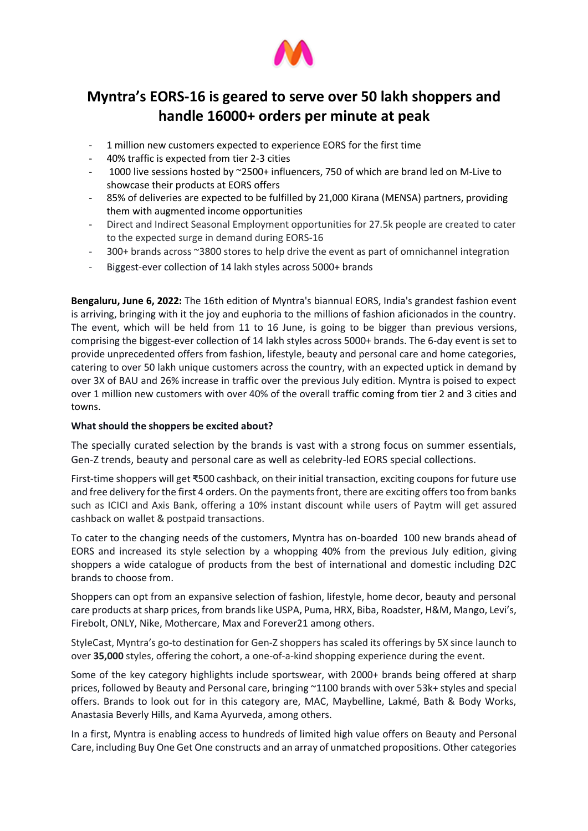

# **Myntra's EORS-16 is geared to serve over 50 lakh shoppers and handle 16000+ orders per minute at peak**

- 1 million new customers expected to experience EORS for the first time
- 40% traffic is expected from tier 2-3 cities
- 1000 live sessions hosted by ~2500+ influencers, 750 of which are brand led on M-Live to showcase their products at EORS offers
- 85% of deliveries are expected to be fulfilled by 21,000 Kirana (MENSA) partners, providing them with augmented income opportunities
- Direct and Indirect Seasonal Employment opportunities for 27.5k people are created to cater to the expected surge in demand during EORS-16
- 300+ brands across ~3800 stores to help drive the event as part of omnichannel integration
- Biggest-ever collection of 14 lakh styles across 5000+ brands

**Bengaluru, June 6, 2022:** The 16th edition of Myntra's biannual EORS, India's grandest fashion event is arriving, bringing with it the joy and euphoria to the millions of fashion aficionados in the country. The event, which will be held from 11 to 16 June, is going to be bigger than previous versions, comprising the biggest-ever collection of 14 lakh styles across 5000+ brands. The 6-day event is set to provide unprecedented offers from fashion, lifestyle, beauty and personal care and home categories, catering to over 50 lakh unique customers across the country, with an expected uptick in demand by over 3X of BAU and 26% increase in traffic over the previous July edition. Myntra is poised to expect over 1 million new customers with over 40% of the overall traffic coming from tier 2 and 3 cities and towns.

## **What should the shoppers be excited about?**

The specially curated selection by the brands is vast with a strong focus on summer essentials, Gen-Z trends, beauty and personal care as well as celebrity-led EORS special collections.

First-time shoppers will get ₹500 cashback, on their initial transaction, exciting coupons for future use and free delivery for the first 4 orders. On the payments front, there are exciting offers too from banks such as ICICI and Axis Bank, offering a 10% instant discount while users of Paytm will get assured cashback on wallet & postpaid transactions.

To cater to the changing needs of the customers, Myntra has on-boarded 100 new brands ahead of EORS and increased its style selection by a whopping 40% from the previous July edition, giving shoppers a wide catalogue of products from the best of international and domestic including D2C brands to choose from.

Shoppers can opt from an expansive selection of fashion, lifestyle, home decor, beauty and personal care products at sharp prices, from brands like USPA, Puma, HRX, Biba, Roadster, H&M, Mango, Levi's, Firebolt, ONLY, Nike, Mothercare, Max and Forever21 among others.

StyleCast, Myntra's go-to destination for Gen-Z shoppers has scaled its offerings by 5X since launch to over **35,000** styles, offering the cohort, a one-of-a-kind shopping experience during the event.

Some of the key category highlights include sportswear, with 2000+ brands being offered at sharp prices, followed by Beauty and Personal care, bringing ~1100 brands with over 53k+ styles and special offers. Brands to look out for in this category are, MAC, Maybelline, Lakmé, Bath & Body Works, Anastasia Beverly Hills, and Kama Ayurveda, among others.

In a first, Myntra is enabling access to hundreds of limited high value offers on Beauty and Personal Care, including Buy One Get One constructs and an array of unmatched propositions. Other categories